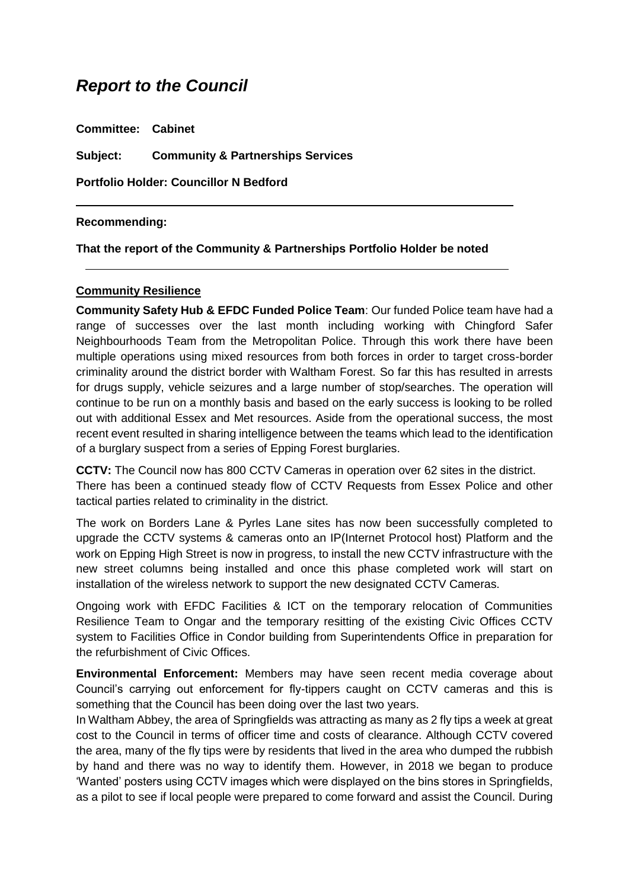# *Report to the Council*

**Committee: Cabinet Subject: Community & Partnerships Services Portfolio Holder: Councillor N Bedford**

#### **Recommending:**

#### **That the report of the Community & Partnerships Portfolio Holder be noted**

#### **Community Resilience**

**Community Safety Hub & EFDC Funded Police Team**: Our funded Police team have had a range of successes over the last month including working with Chingford Safer Neighbourhoods Team from the Metropolitan Police. Through this work there have been multiple operations using mixed resources from both forces in order to target cross-border criminality around the district border with Waltham Forest. So far this has resulted in arrests for drugs supply, vehicle seizures and a large number of stop/searches. The operation will continue to be run on a monthly basis and based on the early success is looking to be rolled out with additional Essex and Met resources. Aside from the operational success, the most recent event resulted in sharing intelligence between the teams which lead to the identification of a burglary suspect from a series of Epping Forest burglaries.

**CCTV:** The Council now has 800 CCTV Cameras in operation over 62 sites in the district. There has been a continued steady flow of CCTV Requests from Essex Police and other tactical parties related to criminality in the district.

The work on Borders Lane & Pyrles Lane sites has now been successfully completed to upgrade the CCTV systems & cameras onto an IP(Internet Protocol host) Platform and the work on Epping High Street is now in progress, to install the new CCTV infrastructure with the new street columns being installed and once this phase completed work will start on installation of the wireless network to support the new designated CCTV Cameras.

Ongoing work with EFDC Facilities & ICT on the temporary relocation of Communities Resilience Team to Ongar and the temporary resitting of the existing Civic Offices CCTV system to Facilities Office in Condor building from Superintendents Office in preparation for the refurbishment of Civic Offices.

**Environmental Enforcement:** Members may have seen recent media coverage about Council's carrying out enforcement for fly-tippers caught on CCTV cameras and this is something that the Council has been doing over the last two years.

In Waltham Abbey, the area of Springfields was attracting as many as 2 fly tips a week at great cost to the Council in terms of officer time and costs of clearance. Although CCTV covered the area, many of the fly tips were by residents that lived in the area who dumped the rubbish by hand and there was no way to identify them. However, in 2018 we began to produce 'Wanted' posters using CCTV images which were displayed on the bins stores in Springfields, as a pilot to see if local people were prepared to come forward and assist the Council. During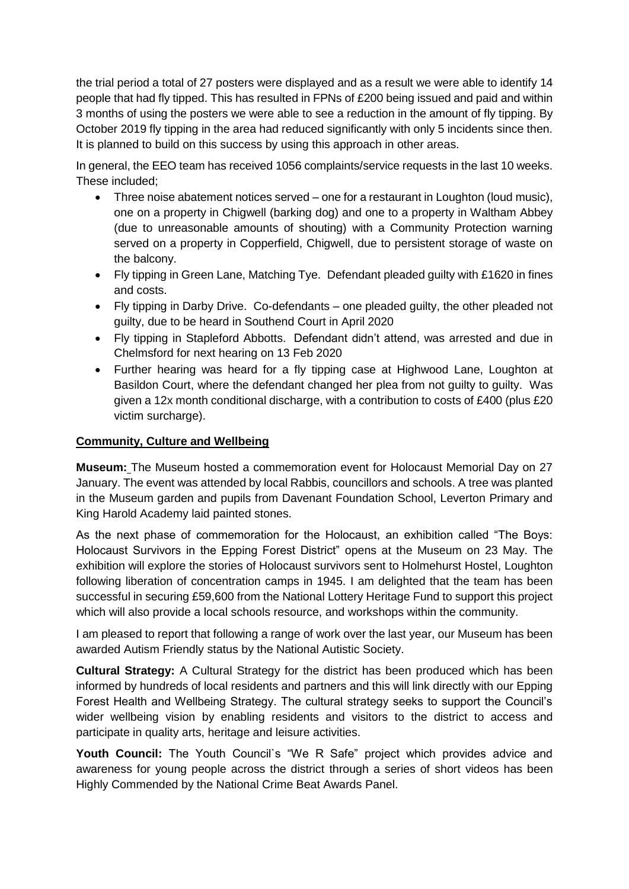the trial period a total of 27 posters were displayed and as a result we were able to identify 14 people that had fly tipped. This has resulted in FPNs of £200 being issued and paid and within 3 months of using the posters we were able to see a reduction in the amount of fly tipping. By October 2019 fly tipping in the area had reduced significantly with only 5 incidents since then. It is planned to build on this success by using this approach in other areas.

In general, the EEO team has received 1056 complaints/service requests in the last 10 weeks. These included;

- Three noise abatement notices served one for a restaurant in Loughton (loud music), one on a property in Chigwell (barking dog) and one to a property in Waltham Abbey (due to unreasonable amounts of shouting) with a Community Protection warning served on a property in Copperfield, Chigwell, due to persistent storage of waste on the balcony.
- Fly tipping in Green Lane, Matching Tye. Defendant pleaded guilty with £1620 in fines and costs.
- Fly tipping in Darby Drive. Co-defendants one pleaded guilty, the other pleaded not guilty, due to be heard in Southend Court in April 2020
- Fly tipping in Stapleford Abbotts. Defendant didn't attend, was arrested and due in Chelmsford for next hearing on 13 Feb 2020
- Further hearing was heard for a fly tipping case at Highwood Lane, Loughton at Basildon Court, where the defendant changed her plea from not guilty to guilty. Was given a 12x month conditional discharge, with a contribution to costs of £400 (plus £20 victim surcharge).

## **Community, Culture and Wellbeing**

**Museum:** The Museum hosted a commemoration event for Holocaust Memorial Day on 27 January. The event was attended by local Rabbis, councillors and schools. A tree was planted in the Museum garden and pupils from Davenant Foundation School, Leverton Primary and King Harold Academy laid painted stones.

As the next phase of commemoration for the Holocaust, an exhibition called "The Boys: Holocaust Survivors in the Epping Forest District" opens at the Museum on 23 May. The exhibition will explore the stories of Holocaust survivors sent to Holmehurst Hostel, Loughton following liberation of concentration camps in 1945. I am delighted that the team has been successful in securing £59,600 from the National Lottery Heritage Fund to support this project which will also provide a local schools resource, and workshops within the community.

I am pleased to report that following a range of work over the last year, our Museum has been awarded Autism Friendly status by the National Autistic Society.

**Cultural Strategy:** A Cultural Strategy for the district has been produced which has been informed by hundreds of local residents and partners and this will link directly with our Epping Forest Health and Wellbeing Strategy. The cultural strategy seeks to support the Council's wider wellbeing vision by enabling residents and visitors to the district to access and participate in quality arts, heritage and leisure activities.

**Youth Council:** The Youth Council`s "We R Safe" project which provides advice and awareness for young people across the district through a series of short videos has been Highly Commended by the National Crime Beat Awards Panel.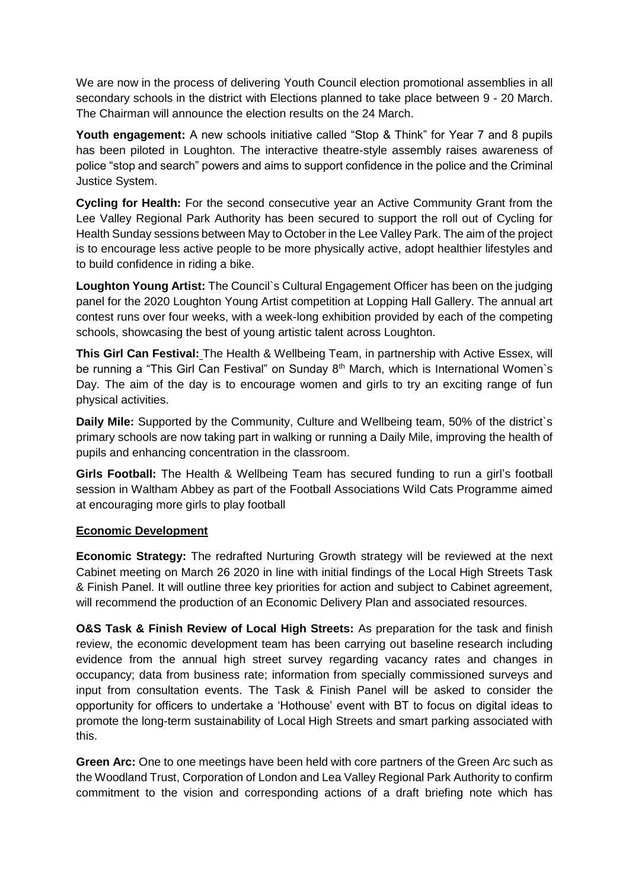We are now in the process of delivering Youth Council election promotional assemblies in all secondary schools in the district with Elections planned to take place between 9 - 20 March. The Chairman will announce the election results on the 24 March.

Youth engagement: A new schools initiative called "Stop & Think" for Year 7 and 8 pupils has been piloted in Loughton. The interactive theatre-style assembly raises awareness of police "stop and search" powers and aims to support confidence in the police and the Criminal Justice System.

**Cycling for Health:** For the second consecutive year an Active Community Grant from the Lee Valley Regional Park Authority has been secured to support the roll out of Cycling for Health Sunday sessions between May to October in the Lee Valley Park. The aim of the project is to encourage less active people to be more physically active, adopt healthier lifestyles and to build confidence in riding a bike.

**Loughton Young Artist:** The Council`s Cultural Engagement Officer has been on the judging panel for the 2020 Loughton Young Artist competition at Lopping Hall Gallery. The annual art contest runs over four weeks, with a week-long exhibition provided by each of the competing schools, showcasing the best of young artistic talent across Loughton.

**This Girl Can Festival:** The Health & Wellbeing Team, in partnership with Active Essex, will be running a "This Girl Can Festival" on Sunday 8<sup>th</sup> March, which is International Women's Day. The aim of the day is to encourage women and girls to try an exciting range of fun physical activities.

**Daily Mile:** Supported by the Community, Culture and Wellbeing team, 50% of the district`s primary schools are now taking part in walking or running a Daily Mile, improving the health of pupils and enhancing concentration in the classroom.

**Girls Football:** The Health & Wellbeing Team has secured funding to run a girl's football session in Waltham Abbey as part of the Football Associations Wild Cats Programme aimed at encouraging more girls to play football

### **Economic Development**

**Economic Strategy:** The redrafted Nurturing Growth strategy will be reviewed at the next Cabinet meeting on March 26 2020 in line with initial findings of the Local High Streets Task & Finish Panel. It will outline three key priorities for action and subject to Cabinet agreement, will recommend the production of an Economic Delivery Plan and associated resources.

**O&S Task & Finish Review of Local High Streets:** As preparation for the task and finish review, the economic development team has been carrying out baseline research including evidence from the annual high street survey regarding vacancy rates and changes in occupancy; data from business rate; information from specially commissioned surveys and input from consultation events. The Task & Finish Panel will be asked to consider the opportunity for officers to undertake a 'Hothouse' event with BT to focus on digital ideas to promote the long-term sustainability of Local High Streets and smart parking associated with this.

**Green Arc:** One to one meetings have been held with core partners of the Green Arc such as the Woodland Trust, Corporation of London and Lea Valley Regional Park Authority to confirm commitment to the vision and corresponding actions of a draft briefing note which has